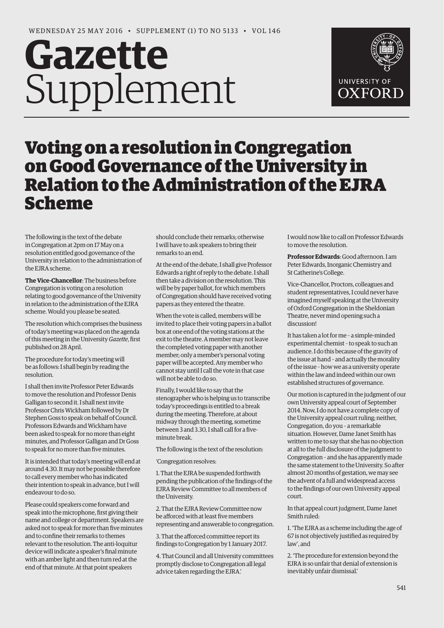# **Gazette** Supplement



# Voting on a resolution in Congregation on Good Governance of the University in Relation to the Administration of the EJRA Scheme

The following is the text of the debate in Congregation at 2pm on 17 May on a resolution entitled good governance of the University in relation to the administration of the EJRA scheme.

**The Vice-Chancellor**: The business before Congregation is voting on a resolution relating to good governance of the University in relation to the administration of the EJRA scheme. Would you please be seated.

The resolution which comprises the business of today's meeting was placed on the agenda of this meeting in the University *Gazette*, first published on 28 April.

The procedure for today's meeting will be as follows: I shall begin by reading the resolution.

I shall then invite Professor Peter Edwards to move the resolution and Professor Denis Galligan to second it. I shall next invite Professor Chris Wickham followed by Dr Stephen Goss to speak on behalf of Council. Professors Edwards and Wickham have been asked to speak for no more than eight minutes, and Professor Galligan and Dr Goss to speak for no more than five minutes.

It is intended that today's meeting will end at around 4.30. It may not be possible therefore to call every member who has indicated their intention to speak in advance, but I will endeavour to do so.

Please could speakers come forward and speak into the microphone, first giving their name and college or department. Speakers are asked not to speak for more than five minutes and to confine their remarks to themes relevant to the resolution. The anti-loquitur device will indicate a speaker's final minute with an amber light and then turn red at the end of that minute. At that point speakers

should conclude their remarks; otherwise I will have to ask speakers to bring their remarks to an end.

At the end of the debate, I shall give Professor Edwards a right of reply to the debate. I shall then take a division on the resolution. This will be by paper ballot, for which members of Congregation should have received voting papers as they entered the theatre.

When the vote is called, members will be invited to place their voting papers in a ballot box at one end of the voting stations at the exit to the theatre. A member may not leave the completed voting paper with another member; only a member's personal voting paper will be accepted. Any member who cannot stay until I call the vote in that case will not be able to do so.

Finally, I would like to say that the stenographer who is helping us to transcribe today's proceedings is entitled to a break during the meeting. Therefore, at about midway through the meeting, sometime between 3 and 3.30, I shall call for a fiveminute break.

The following is the text of the resolution:

'Congregation resolves:

1. That the EJRA be suspended forthwith pending the publication of the findings of the EJRA Review Committee to all members of the University.

2. That the EJRA Review Committee now be afforced with at least five members representing and answerable to congregation.

3. That the afforced committee report its findings to Congregation by 1 January 2017.

4. That Council and all University committees promptly disclose to Congregation all legal advice taken regarding the EJRA.'

I would now like to call on Professor Edwards to move the resolution.

**Professor Edwards**: Good afternoon. I am Peter Edwards, Inorganic Chemistry and St Catherine's College.

Vice-Chancellor, Proctors, colleagues and student representatives, I could never have imagined myself speaking at the University of Oxford Congregation in the Sheldonian Theatre, never mind opening such a discussion!

It has taken a lot for me – a simple-minded experimental chemist – to speak to such an audience. I do this because of the gravity of the issue at hand – and actually the morality of the issue – how we as a university operate within the law and indeed within our own established structures of governance.

Our motion is captured in the judgment of our own University appeal court of September 2014. Now, I do not have a complete copy of the University appeal court ruling; neither, Congregation, do you – a remarkable situation. However, Dame Janet Smith has written to me to say that she has no objection at all to the full disclosure of the judgment to Congregation – and she has apparently made the same statement to the University. So after almost 20 months of gestation, we may see the advent of a full and widespread access to the findings of our own University appeal court.

In that appeal court judgment, Dame Janet Smith ruled:

1. 'The EJRA as a scheme including the age of 67 is not objectively justified as required by law', and

2. 'The procedure for extension beyond the EJRA is so unfair that denial of extension is inevitably unfair dismissal.'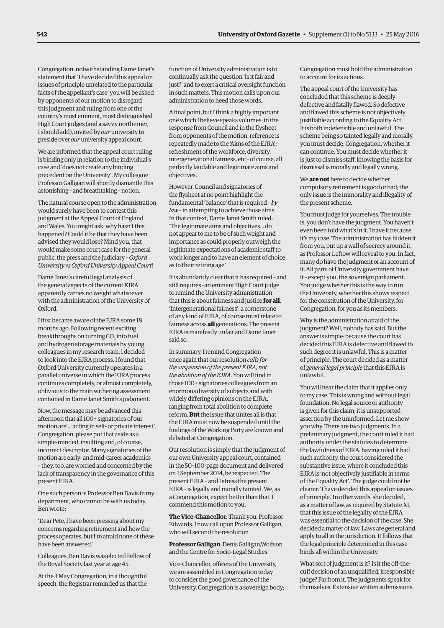Congregation: notwithstanding Dame Janet's statement that 'I have decided this appeal on issues of principle unrelated to the particular facts of the appellant's case' you will be asked by opponents of our motion to disregard this judgment and ruling from one of the country's most eminent, most distinguished High Court judges (and a savvy northerner, I should add), invited by *our* university to preside over *our* university appeal court.

We are informed that the appeal court ruling is binding only in relation to the individual's case and 'does not create any binding precedent on the University'. My colleague Professor Galligan will shortly dismantle this astonishing – and breathtaking – notion.

The natural course open to the administration would surely have been to contest this judgment at the Appeal Court of England and Wales. You might ask: why hasn't this happened? Could it be that they have been advised they would lose? Mind you, that would make some court case for the general public, the press and the judiciary – *Oxford University vs Oxford University Appeal Court*!

Dame Janet's careful legal analysis of the general aspects of the current EJRA apparently carries no weight whatsoever with the administration of the University of Oxford.

I first became aware of the EJRA some 18 months ago. Following recent exciting breakthroughs on turning CO<sub>2</sub> into fuel and hydrogen storage materials by young colleagues in my research team, I decided to look into the EJRA process. I found that Oxford University currently operates in a parallel universe in which the EJRA process continues completely, or almost completely, oblivious to the main withering assessment contained in Dame Janet Smith's judgment.

Now, the message may be advanced this afternoon that all 100+ signatories of our motion are'... acting in self- or private interest'. Congregation, please put that aside as a simple-minded, insulting and, of course, incorrect descriptor. Many signatories of the motion are early- and mid-career academics – they, too, are worried and concerned by the lack of transparency in the governance of this present EJRA.

One such person is Professor Ben Davis in my department, who cannot be with us today. Ben wrote:

'Dear Pete, I have been pressing about my concerns regarding retirement and how the process operates, but I'm afraid none of these have been answered.'

Colleagues, Ben Davis was elected Fellow of the Royal Society last year at age 45.

At the 3 May Congregation, in a thoughtful speech, the Registrar reminded us that the function of University administration is to continually ask the question 'Is it fair and just?' and to exert a critical oversight function in such matters. This motion calls upon our administration to heed those words.

A final point, but I think a highly important one which I believe speaks volumes: in the response from Council and in the flysheet from opponents of the motion, reference is repeatedly made to the 'Aims of the EJRA': refreshment of the workforce, diversity, intergenerational fairness, etc – of course, all perfectly laudable and legitimate aims and objectives.

However, Council and signatories of the flysheet at no point highlight the fundamental 'balance' that is required – *by law* – in attempting to achieve those aims. In that context, Dame Janet Smith ruled: 'The legitimate aims and objectives... do not appear to me to be of such weight and importance as could properly outweigh the legitimate expectations of academic staff to work longer and to have an element of choice as to their retiring age.'

It is abundantly clear that it has required – and still requires –an eminent High Court judge to remind the University administration that this is about fairness and justice **for all**. 'Intergenerational fairness', a cornerstone of any kind of EJRA, of course must relate to fairness across **all** generations. The present EJRA is manifestly unfair and Dame Janet said so.

In summary, I remind Congregation once again that our resolution *calls for the suspension of the present EJRA, not the abolition of the EJRA*. You will find in those 100+ signatories colleagues from an enormous diversity of subjects and with widely differing opinions on the EJRA, ranging from total abolition to complete reform. **But** the issue that unites all is that the EJRA must now be suspended until the findings of the Working Party are known and debated at Congregation.

Our resolution is simply that the judgment of our own University appeal court, contained in the 50–100-page document and delivered on 1 September 2014, be respected. The present EJRA – and I stress the present EJRA – is legally and morally tainted. We, as a Congregation, expect better than that. I commend this motion to you.

**The Vice-Chancellor**: Thank you, Professor Edwards. I now call upon Professor Galligan, who will second the resolution.

**Professor Galligan**: Denis Galligan,Wolfson and the Centre for Socio-Legal Studies.

Vice-Chancellor, officers of the University, we are assembled in Congregation today to consider the good governance of the University. Congregation is a sovereign body; Congregation must hold the administration to account for its actions.

The appeal court of the University has concluded that this scheme is deeply defective and fatally flawed. So defective and flawed this scheme is not objectively justifiable according to the Equality Act. It is both indefensible and unlawful. The scheme being so tainted legally and morally, you must decide, Congregation, whether it can continue. You must decide whether it is just to dismiss staff, knowing the basis for dismissal is morally and legally wrong.

We **are not** here to decide whether compulsory retirement is good or bad; the only issue is the immorality and illegality of the present scheme.

You must judge for yourselves. The trouble is, you don't have the judgment. You haven't even been told what's in it. I have it because it's my case. The administration has hidden it from you, put up a wall of secrecy around it, as Professor Leftow will reveal to you. In fact, many do have the judgment or an account of it. All parts of University government have it – except you, the sovereign parliament. You judge whether this is the way to run the University, whether this shows respect for the constitution of the University, for Congregation, for you as its members.

Why is the administration afraid of the judgment? Well, nobody has said. But the answer is simple: because the court has decided this EJRA is defective and flawed to such degree it is unlawful. This is a matter of principle. The court decided as a matter of *general legal principle* that this EJRA is unlawful.

You will hear the claim that it applies only to my case. This is wrong and without legal foundation. No legal source or authority is given for this claim; it is unsupported assertion by the uninformed. Let me show you why. There are two judgments. In a preliminary judgment, the court ruled it had authority under the statutes to determine the lawfulness of EJRA: having ruled it had such authority, the court considered the substantive issue, where it concluded this EJRA is 'not objectively justifiable in terms of the Equality Act'. The judge could not be clearer: 'I have decided this appeal on issues of principle.' In other words, she decided, as a matter of law, as required by Statute XI, that this issue of the legality of the EJRA was essential to the decision of the case. She decided a matter of law. Laws are general and apply to all in the jurisdiction. It follows that the legal principle determined in this case binds all within the University.

What sort of judgment is it? Is it the off-thecuff decision of an unqualified, irresponsible judge? Far from it. The judgments speak for themselves. Extensive written submissions,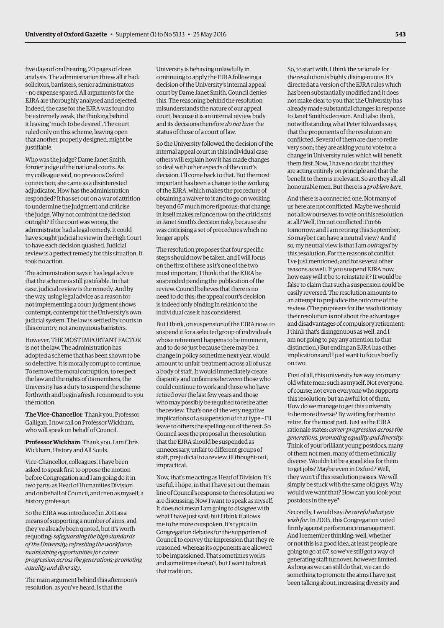five days of oral hearing, 70 pages of close analysis. The administration threw all it had: solicitors, barristers, senior administrators – no expense spared. All arguments for the EJRA are thoroughly analysed and rejected. Indeed, the case for the EJRA was found to be extremely weak, the thinking behind it leaving 'much to be desired'. The court ruled only on this scheme, leaving open that another, properly designed, might be justifiable.

Who was the judge? Dame Janet Smith, former judge of the national courts. As my colleague said, no previous Oxford connection; she came as a disinterested adjudicator. How has the administration responded? It has set out on a war of attrition to undermine the judgment and criticise the judge. Why not confront the decision outright? If the court was wrong, the administrator had a legal remedy. It could have sought judicial review in the High Court to have each decision quashed. Judicial review is a perfect remedy for this situation. It took no action.

The administration says it has legal advice that the scheme is still justifiable. In that case, judicial review is the remedy. And by the way, using legal advice as a reason for not implementing a court judgment shows contempt, contempt for the University's own judicial system. The law is settled by courts in this country, not anonymous barristers.

However, THE MOST IMPORTANT FACTOR is not the law. The administration has adopted a scheme that has been shown to be so defective, it is morally corrupt to continue. To remove the moral corruption, to respect the law and the rights of its members, the University has a duty to suspend the scheme forthwith and begin afresh. I commend to you the motion.

**The Vice-Chancellor**: Thank you, Professor Galligan. I now call on Professor Wickham, who will speak on behalf of Council.

**Professor Wickham**: Thank you. I am Chris Wickham, History and All Souls.

Vice-Chancellor, colleagues, I have been asked to speak first to oppose the motion before Congregation and I am going do it in two parts: as Head of Humanities Division and on behalf of Council, and then as myself, a history professor.

So the EJRA was introduced in 2011 as a means of supporting a number of aims, and they've already been quoted, but it's worth requoting: *safeguarding the high standards of the University; refreshing the workforce; maintaining opportunities for career progression across the generations; promoting equality and diversity*.

The main argument behind this afternoon's resolution, as you've heard, is that the

University is behaving unlawfully in continuing to apply the EJRA following a decision of the University's internal appeal court by Dame Janet Smith. Council denies this. The reasoning behind the resolution misunderstands the nature of our appeal court, because it is an internal review body and its decisions therefore *do not have* the status of those of a court of law.

So the University followed the decision of the internal appeal court in this individual case; others will explain how it has made changes to deal with other aspects of the court's decision. I'll come back to that. But the most important has been a change to the working of the EJRA, which makes the procedure of obtaining a waiver to it and to go on working beyond 67 much more rigorous; that change in itself makes reliance now on the criticisms in Janet Smith's decision risky, because she was criticising a set of procedures which no longer apply.

The resolution proposes that four specific steps should now be taken, and I will focus on the first of these as it's one of the two most important, I think: that the EJRA be suspended pending the publication of the review. Council believes that there is no need to do this; the appeal court's decision is indeed only binding in relation to the individual case it has considered.

But I think, on suspension of the EJRA now: to suspend it for a selected group of individuals whose retirement happens to be imminent, and to do so just because there may be a change in policy sometime next year, would amount to unfair treatment across all of us as a body of staff. It would immediately create disparity and unfairness between those who could continue to work and those who have retired over the last few years and those who may possibly be required to retire after the review. That's one of the very negative implications of a suspension of that type – I'll leave to others the spelling out of the rest. So Council sees the proposal in the resolution that the EJRA should be suspended as unnecessary, unfair to different groups of staff, prejudicial to a review, ill thought-out, impractical.

Now, that's me acting as Head of Division. It's useful, I hope, in that I have set out the main line of Council's response to the resolution we are discussing. Now I want to speak as myself. It does not mean I am going to disagree with what I have just said; but I think it allows me to be more outspoken. It's typical in Congregation debates for the supporters of Council to convey the impression that they're reasoned, whereas its opponents are allowed to be impassioned. That sometimes works and sometimes doesn't, but I want to break that tradition.

So, to start with, I think the rationale for the resolution is highly disingenuous. It's directed at a version of the EJRA rules which has been substantially modified and it does not make clear to you that the University has already made substantial changes in response to Janet Smith's decision. And I also think, notwithstanding what Peter Edwards says, that the proponents of the resolution are conflicted. Several of them are due to retire very soon; they are asking you to vote for a change in University rules which will benefit them first. Now, I have no doubt that they are acting entirely on principle and that the benefit to them is irrelevant. So are they all, all honourable men. But there is a *problem here*.

And there is a connected one. Not many of us here are not conflicted. Maybe we should not allow ourselves to vote on this resolution at all? Well, I'm not conflicted; I'm 66 tomorrow; and I am retiring this September. So maybe I can have a neutral view? And if so, my neutral view is that I am *outraged* by this resolution. For the reasons of conflict I've just mentioned; and for several other reasons as well. If you suspend EJRA now, how easy will it be to reinstate it? It would be false to claim that such a suspension could be easily reversed. The resolution amounts to an attempt to prejudice the outcome of the review. (The proposers for the resolution say their resolution is not about the advantages and disadvantages of compulsory retirement: I think that's disingenuous as well, and I am not going to pay any attention to that distinction.) But ending an EJRA has other implications and I just want to focus briefly on two.

First of all, this university has way too many old white men: such as myself. Not everyone, of course; not even everyone who supports this resolution; but an awful lot of them. How do we manage to get this university to be more diverse? By waiting for them to retire, for the most part. Just as the EJRA rationale states: *career progression across the generations, promoting equality and diversity*. Think of your brilliant young postdocs, many of them not men, many of them ethnically diverse. Wouldn't it be a good idea for them to get jobs? Maybe even in Oxford? Well, they won't if this resolution passes. We will simply be stuck with the same old guys. Why would we want that? How can you look your postdocs in the eye?

Secondly, I would say: *be careful what you wish for*. In 2005, this Congregation voted firmly against performance management. And I remember thinking: well, whether or not this is a good idea, at least people are going to go at 67, so we've still got a way of generating staff turnover, however limited. As long as we can still do that, we can do something to promote the aims I have just been talking about, increasing diversity and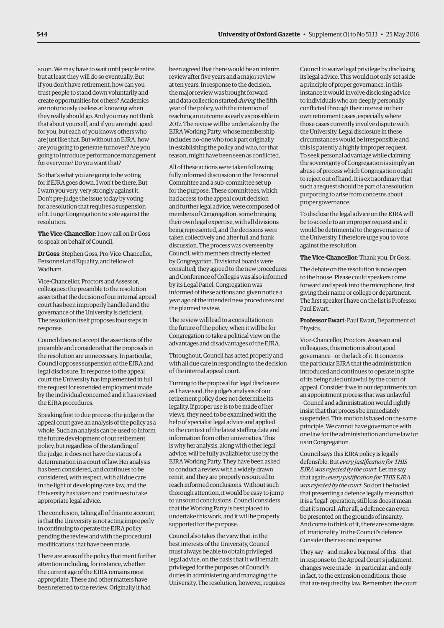so on. We may have to wait until people retire, but at least they will do so eventually. But if you don't have retirement, how can you trust people to stand down voluntarily and create opportunities for others? Academics are notoriously useless at knowing when they really should go. And you may not think that about yourself, and if you are right, good for you, but each of you knows others who are just like that. But without an EJRA, how are you going to generate turnover? Are you going to introduce performance management for everyone? Do you want that?

So that's what you are going to be voting for if EJRA goes down. I won't be there. But I warn you very, very strongly against it. Don't pre-judge the issue today by voting for a resolution that requires a suspension of it. I urge Congregation to vote against the resolution.

**The Vice-Chancellor**: I now call on Dr Goss to speak on behalf of Council.

**Dr Goss**: Stephen Goss, Pro-Vice-Chancellor, Personnel and Equality, and fellow of Wadham.

Vice-Chancellor, Proctors and Assessor, colleagues: the preamble to the resolution asserts that the decision of our internal appeal court has been improperly handled and the governance of the University is deficient. The resolution itself proposes four steps in response.

Council does not accept the assertions of the preamble and considers that the proposals in the resolution are unnecessary. In particular, Council opposes suspension of the EJRA and legal disclosure. In response to the appeal court the University has implemented in full the request for extended employment made by the individual concerned and it has revised the EJRA procedures.

Speaking first to due process: the judge in the appeal court gave an analysis of the policy as a whole. Such an analysis can be used to inform the future development of our retirement policy, but regardless of the standing of the judge, it does not have the status of a determination in a court of law. Her analysis has been considered, and continues to be considered, with respect, with all due care in the light of developing case law, and the University has taken and continues to take appropriate legal advice.

The conclusion, taking all of this into account, is that the University is not acting improperly in continuing to operate the EJRA policy pending the review and with the procedural modifications that have been made.

There are areas of the policy that merit further attention including, for instance, whether the current age of the EJRA remains most appropriate. These and other matters have been referred to the review. Originally it had

been agreed that there would be an interim review after five years and a major review at ten years. In response to the decision, the major review was brought forward and data collection started *during* the fifth year of the policy, with the intention of reaching an outcome as early as possible in 2017. The review will be undertaken by the EJRA Working Party, whose membership includes no-one who took part originally in establishing the policy and who, for that reason, might have been seen as conflicted.

All of these actions were taken following fully informed discussion in the Personnel Committee and a sub-committee set up for the purpose. These committees, which had access to the appeal court decision and further legal advice, were composed of members of Congregation, some bringing their own legal expertise, with all divisions being represented, and the decisions were taken collectively and after full and frank discussion. The process was overseen by Council, with members directly elected by Congregation. Divisional boards were consulted; they agreed to the new procedures and Conference of Colleges was also informed by its Legal Panel. Congregation was informed of these actions and given notice a year ago of the intended new procedures and the planned review.

The review will lead to a consultation on the future of the policy, when it will be for Congregation to take a political view on the advantages and disadvantages of the EJRA.

Throughout, Council has acted properly and with all due care in responding to the decision of the internal appeal court.

Turning to the proposal for legal disclosure: as I have said, the judge's analysis of our retirement policy does not determine its legality. If proper use is to be made of her views, they need to be examined with the help of specialist legal advice and applied to the context of the latest staffing data and information from other universities. This is why her analysis, along with other legal advice, will be fully available for use by the EJRA Working Party. They have been asked to conduct a review with a widely drawn remit, and they are properly resourced to reach informed conclusions. Without such thorough attention, it would be easy to jump to unsound conclusions. Council considers that the Working Party is best placed to undertake this work, and it will be properly supported for the purpose.

Council also takes the view that, in the best interests of the University, Council must always be able to obtain privileged legal advice, on the basis that it will remain privileged for the purposes of Council's duties in administering and managing the University. The resolution, however, requires

Council to waive legal privilege by disclosing its legal advice. This would not only set aside a principle of proper governance, in this instance it would involve disclosing advice to individuals who are deeply personally conflicted through their interest in their own retirement cases, especially where those cases currently involve dispute with the University. Legal disclosure in these circumstances would be irresponsible and this is patently a highly improper request. To seek personal advantage while claiming the sovereignty of Congregation is simply an abuse of process which Congregation ought to reject out of hand. It is extraordinary that such a request should be part of a resolution purporting to arise from concerns about proper governance.

To disclose the legal advice on the EJRA will be to accede to an improper request and it would be detrimental to the governance of the University. I therefore urge you to vote against the resolution.

**The Vice-Chancellor**: Thank you, Dr Goss.

The debate on the resolution is now open to the house. Please could speakers come forward and speak into the microphone, first giving their name or college or department. The first speaker I have on the list is Professor Paul Ewart.

**Professor Ewart**: Paul Ewart, Department of Physics.

Vice-Chancellor, Proctors, Assessor and colleagues, this motion is about good governance – or the lack of it. It concerns the particular EJRA that the administration introduced and continues to operate in spite of its being ruled unlawful by the court of appeal. Consider if we in our departments ran an appointment process that was unlawful – Council and administration would rightly insist that that process be immediately suspended. This motion is based on the same principle. We cannot have governance with one law for the administration and one law for us in Congregation.

Council says this EJRA policy is legally defensible. But *every justification for THIS EJRA was rejected by the court*. Let me say that again: *every justification for THIS EJRA was rejected by the court*. So don't be fooled that presenting a defence legally means that it is a 'legal' operation, still less does it mean that it's moral. After all, a defence can even be presented on the grounds of insanity. And come to think of it, there are some signs of 'irrationality' in the Council's defence. Consider their second response.

They say – and make a big meal of this – that in response to the Appeal Court's judgment, changes were made – in particular, and only in fact, to the extension conditions, those that are required by law. Remember, the court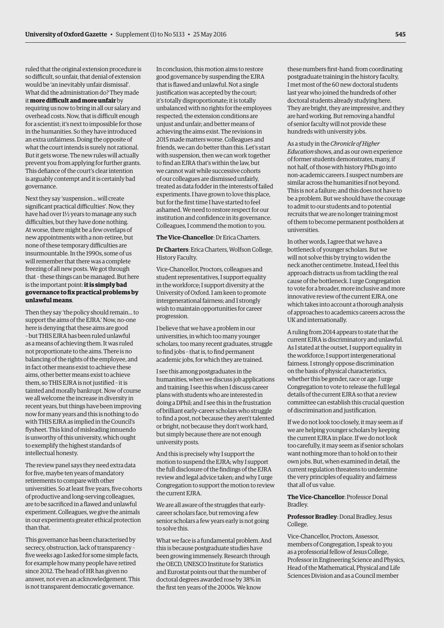ruled that the original extension procedure is so difficult, so unfair, that denial of extension would be 'an inevitably unfair dismissal'. What did the administration do? They made it **more difficult and more unfair** by requiring us now to bring in all our salary and overhead costs. Now, that is difficult enough for a scientist; it's next to impossible for those in the humanities. So they have introduced an extra unfairness. Doing the opposite of what the court intends is surely not rational. But it gets worse. The new rules will actually prevent you from applying for further grants. This defiance of the court's clear intention is arguably contempt and it is certainly bad governance.

Next they say 'suspension... will create significant practical difficulties'. Now, they have had over 1½ years to manage any such difficulties, but they have done nothing. At worse, there might be a few overlaps of new appointments with a non-retiree, but none of these temporary difficulties are insurmountable. In the 1990s, some of us will remember that there was a complete freezing of all new posts. We got through that – these things can be managed. But here is the important point: **it is simply bad governance to fix practical problems by unlawful means**.

Then they say 'the policy should remain... to support the aims of the EJRA.' Now, no-one here is denying that these aims are good – but THIS EJRA has been ruled unlawful as a means of achieving them. It was ruled not proportionate to the aims. There is no balancing of the rights of the employee, and in fact other means exist to achieve these aims, other better means exist to achieve them, so THIS EJRA is not justified – it is tainted and morally bankrupt. Now of course we all welcome the increase in diversity in recent years, but things have been improving now for many years and this is nothing to do with THIS EJRA as implied in the Council's flysheet. This kind of misleading innuendo is unworthy of this university, which ought to exemplify the highest standards of intellectual honesty.

The review panel says they need extra data for five, maybe ten years of mandatory retirements to compare with other universities. So at least five years, five cohorts of productive and long-serving colleagues, are to be sacrificed in a flawed and unlawful experiment. Colleagues, we give the animals in our experiments greater ethical protection than that.

This governance has been characterised by secrecy, obstruction, lack of transparency – five weeks ago I asked for some simple facts, for example how many people have retired since 2012. The head of HR has given no answer, not even an acknowledgement. This is not transparent democratic governance.

In conclusion, this motion aims to restore good governance by suspending the EJRA that is flawed and unlawful. Not a single justification was accepted by the court; it's totally disproportionate; it is totally unbalanced with no rights for the employees respected; the extension conditions are unjust and unfair; and better means of achieving the aims exist. The revisions in 2015 made matters worse. Colleagues and friends, we can do better than this. Let's start with suspension, then we can work together to find an EJRA that's within the law, but we cannot wait while successive cohorts of our colleagues are dismissed unfairly, treated as data fodder in the interests of failed experiments. I have grown to love this place, but for the first time I have started to feel ashamed. We need to restore respect for our institution and confidence in its governance. Colleagues, I commend the motion to you.

#### **The Vice-Chancellor**: Dr Erica Charters.

**Dr Charters**: Erica Charters, Wolfson College, History Faculty.

Vice-Chancellor, Proctors, colleagues and student representatives, I support equality in the workforce; I support diversity at the University of Oxford. I am keen to promote intergenerational fairness; and I strongly wish to maintain opportunities for career progression.

I believe that we have a problem in our universities, in which too many younger scholars, too many recent graduates, struggle to find jobs – that is, to find permanent academic jobs, for which they are trained.

I see this among postgraduates in the humanities, when we discuss job applications and training; I see this when I discuss career plans with students who are interested in doing a DPhil; and I see this in the frustration of brilliant early-career scholars who struggle to find a post, not because they aren't talented or bright, not because they don't work hard, but simply because there are not enough university posts.

And this is precisely why I support the motion to suspend the EJRA; why I support the full disclosure of the findings of the EJRA review and legal advice taken; and why I urge Congregation to support the motion to review the current EJRA.

We are all aware of the struggles that earlycareer scholars face, but removing a few senior scholars a few years early is not going to solve this.

What we face is a fundamental problem. And this is because postgraduate studies have been growing immensely. Research through the OECD, UNESCO Institute for Statistics and Eurostat points out that the number of doctoral degrees awarded rose by 38% in the first ten years of the 2000s. We know

these numbers first-hand: from coordinating postgraduate training in the history faculty, I met most of the 60 new doctoral students last year who joined the hundreds of other doctoral students already studying here. They are bright, they are impressive, and they are hard working. But removing a handful of senior faculty will not provide these hundreds with university jobs.

As a study in the *Chronicle of Higher Education* shows, and as our own experience of former students demonstrates, many, if not half, of those with history PhDs go into non-academic careers. I suspect numbers are similar across the humanities if not beyond. This is not a failure; and this does not have to be a problem. But we should have the courage to admit to our students and to potential recruits that we are no longer training most of them to become permanent postholders at universities.

In other words, I agree that we have a bottleneck of younger scholars. But we will not solve this by trying to widen the neck another centimetre. Instead, I feel this approach distracts us from tackling the real cause of the bottleneck. I urge Congregation to vote for a broader, more inclusive and more innovative review of the current EJRA, one which takes into account a thorough analysis of approaches to academics careers across the UK and internationally.

A ruling from 2014 appears to state that the current EJRA is discriminatory and unlawful. As I stated at the outset, I support equality in the workforce; I support intergenerational fairness. I strongly oppose discrimination on the basis of physical characteristics, whether this be gender, race or age. I urge Congregation to vote to release the full legal details of the current EJRA so that a review committee can establish this crucial question of discrimination and justification.

If we do not look too closely, it may seem as if we are helping younger scholars by keeping the current EJRA in place. If we do not look too carefully, it may seem as if senior scholars want nothing more than to hold on to their own jobs. But, when examined in detail, the current regulation threatens to undermine the very principles of equality and fairness that all of us value.

**The Vice-Chancellor**: Professor Donal Bradley.

# **Professor Bradley**: Donal Bradley, Jesus College.

Vice-Chancellor, Proctors, Assessor, members of Congregation, I speak to you as a professorial fellow of Jesus College, Professor in Engineering Science and Physics, Head of the Mathematical, Physical and Life Sciences Division and as a Council member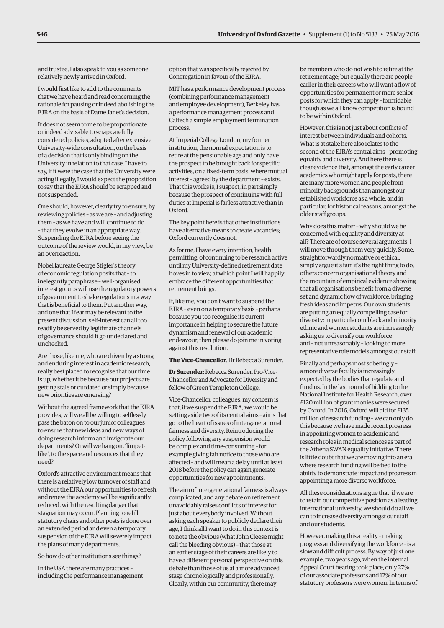and trustee; I also speak to you as someone relatively newly arrived in Oxford.

I would first like to add to the comments that we have heard and read concerning the rationale for pausing or indeed abolishing the EJRA on the basis of Dame Janet's decision.

It does not seem to me to be proportionate or indeed advisable to scrap carefully considered policies, adopted after extensive University-wide consultation, on the basis of a decision that is only binding on the University in relation to that case. I have to say, if it were the case that the University were acting illegally, I would expect the proposition to say that the EJRA should be scrapped and not suspended.

One should, however, clearly try to ensure, by reviewing policies – as we are – and adjusting them – as we have and will continue to do – that they evolve in an appropriate way. Suspending the EJRA before seeing the outcome of the review would, in my view, be an overreaction.

Nobel laureate George Stigler's theory of economic regulation posits that – to inelegantly paraphrase – well-organised interest groups will use the regulatory powers of government to shake regulations in a way that is beneficial to them. Put another way, and one that I fear may be relevant to the present discussion, self-interest can all too readily be served by legitimate channels of governance should it go undeclared and unchecked.

Are those, like me, who are driven by a strong and enduring interest in academic research, really best placed to recognise that our time is up, whether it be because our projects are getting stale or outdated or simply because new priorities are emerging?

Without the agreed framework that the EJRA provides, will we all be willing to selflessly pass the baton on to our junior colleagues to ensure that new ideas and new ways of doing research inform and invigorate our departments? Or will we hang on, 'limpetlike', to the space and resources that they need?

Oxford's attractive environment means that there is a relatively low turnover of staff and without the EJRA our opportunities to refresh and renew the academy will be significantly reduced, with the resulting danger that stagnation may occur. Planning to refill statutory chairs and other posts is done over an extended period and even a temporary suspension of the EJRA will severely impact the plans of many departments.

So how do other institutions see things?

In the USA there are many practices – including the performance management option that was specifically rejected by Congregation in favour of the EJRA.

MIT has a performance development process (combining performance management and employee development), Berkeley has a performance management process and Caltech a simple employment termination process.

At Imperial College London, my former institution, the normal expectation is to retire at the pensionable age and only have the prospect to be brought back for specific activities, on a fixed-term basis, where mutual interest – agreed by the department – exists. That this works is, I suspect, in part simply because the prospect of continuing with full duties at Imperial is far less attractive than in Oxford.

The key point here is that other institutions have alternative means to create vacancies; Oxford currently does not.

As for me, I have every intention, health permitting, of continuing to be research active until my University-defined retirement date hoves in to view, at which point I will happily embrace the different opportunities that retirement brings.

If, like me, you don't want to suspend the EJRA – even on a temporary basis – perhaps because you too recognise its current importance in helping to secure the future dynamism and renewal of our academic endeavour, then please do join me in voting against this resolution.

#### **The Vice-Chancellor**: Dr Rebecca Surender.

**Dr Surender**: Rebecca Surender, Pro-Vice-Chancellor and Advocate for Diversity and fellow of Green Templeton College.

Vice-Chancellor, colleagues, my concern is that, if we suspend the EJRA, we would be setting aside two of its central aims – aims that go to the heart of issues of intergenerational fairness and diversity. Reintroducing the policy following any suspension would be complex and time-consuming – for example giving fair notice to those who are affected – and will mean a delay until at least 2018 before the policy can again generate opportunities for new appointments.

The aim of intergenerational fairness is always complicated, and any debate on retirement unavoidably raises conflicts of interest for just about everybody involved. Without asking each speaker to publicly declare their age, I think all I want to do in this context is to note the obvious (what John Cleese might call the bleeding obvious) – that those at an earlier stage of their careers are likely to have a different personal perspective on this debate than those of us at a more advanced stage chronologically and professionally. Clearly, within our community, there may

be members who do not wish to retire at the retirement age; but equally there are people earlier in their careers who will want a flow of opportunities for permanent or more senior posts for which they can apply – formidable though as we all know competition is bound to be within Oxford.

However, this is not just about conflicts of interest between individuals and cohorts. What is at stake here also relates to the second of the EJRA's central aims – promoting equality and diversity. And here there is clear evidence that, amongst the early career academics who might apply for posts, there are many more women and people from minority backgrounds than amongst our established workforce as a whole, and in particular, for historical reasons, amongst the older staff groups.

Why does this matter – why should we be concerned with equality and diversity at all? There are of course several arguments; I will move through them very quickly. Some, straightforwardly normative or ethical, simply argue it's fair, it's the right thing to do; others concern organisational theory and the mountain of empirical evidence showing that all organisations benefit from a diverse set and dynamic flow of workforce, bringing fresh ideas and impetus. Our own students are putting an equally compelling case for diversity: in particular our black and minority ethnic and women students are increasingly asking us to diversify our workforce and – not unreasonably – looking to more representative role models amongst our staff.

Finally and perhaps most soberingly – a more diverse faculty is increasingly expected by the bodies that regulate and fund us. In the last round of bidding to the National Institute for Health Research, over £120 million of grant monies were secured by Oxford. In 2016, Oxford will bid for £135 million of research funding – we can only do this because we have made recent progress in appointing women to academic and research roles in medical sciences as part of the Athena SWAN equality initiative. There is little doubt that we are moving into an era where research funding will be tied to the ability to demonstrate impact and progress in appointing a more diverse workforce.

All these considerations argue that, if we are to retain our competitive position as a leading international university, we should do all we can to increase diversity amongst our staff and our students.

However, making this a reality – making progress and diversifying the workforce – is a slow and difficult process. By way of just one example, two years ago, when the internal Appeal Court hearing took place, only 27% of our associate professors and 12% of our statutory professors were women. In terms of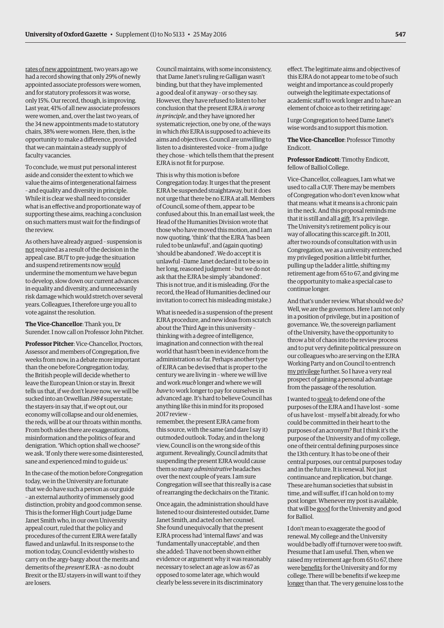rates of new appointment, two years ago we had a record showing that only 29% of newly appointed associate professors were women, and for statutory professors it was worse, only 15%. Our record, though, is improving. Last year, 41% of all new associate professors were women, and, over the last two years, of the 34 new appointments made to statutory chairs, 38% were women. Here, then, is the opportunity to make a difference, provided that we can maintain a steady supply of faculty vacancies.

To conclude, we must put personal interest aside and consider the extent to which we value the aims of intergenerational fairness – and equality and diversity in principle. While it is clear we shall need to consider what is an effective and proportionate way of supporting these aims, reaching a conclusion on such matters must wait for the findings of the review.

As others have already argued – suspension is not required as a result of the decision in the appeal case. BUT to pre-judge the situation and suspend retirements now would undermine the momentum we have begun to develop, slow down our current advances in equality and diversity, and unnecessarily risk damage which would stretch over several years. Colleagues, I therefore urge you all to vote against the resolution.

**The Vice-Chancellor**: Thank you, Dr Surender. I now call on Professor John Pitcher.

**Professor Pitcher**: Vice-Chancellor, Proctors, Assessor and members of Congregation, five weeks from now, in a debate more important than the one before Congregation today, the British people will decide whether to leave the European Union or stay in. Brexit tells us that, if we don't leave now, we will be sucked into an Orwellian *1984* superstate; the stayers-in say that, if we opt out, our economy will collapse and our old enemies, the reds, will be at our throats within months. From both sides there are exaggerations, misinformation and the politics of fear and denigration. 'Which option shall we choose?' we ask. 'If only there were some disinterested, sane and experienced mind to guide us.'

In the case of the motion before Congregation today, we in the University are fortunate that we do have such a person as our guide – an external authority of immensely good distinction, probity and good common sense. This is the former High Court judge Dame Janet Smith who, in our own University appeal court, ruled that the policy and procedures of the current EJRA were fatally flawed and unlawful. In its response to the motion today, Council evidently wishes to carry on the argy-bargy about the merits and demerits of the *present* EJRA – as no doubt Brexit or the EU stayers-in will want to if they are losers.

Council maintains, with some inconsistency, that Dame Janet's ruling re Galligan wasn't binding, but that they have implemented a good deal of it anyway – or so they say. However, they have refused to listen to her conclusion that the present EJRA *is wrong in principle*, and they have ignored her systematic rejection, one by one, of the ways in which *this* EJRA is supposed to achieve its aims and objectives. Council are unwilling to listen to a disinterested voice – from a judge they chose – which tells them that the present EJRA is not fit for purpose.

This is why this motion is before

Congregation today. It urges that the present EJRA be suspended straightaway, but it does not urge that there be no EJRA at all. Members of Council, some of them, appear to be confused about this. In an email last week, the Head of the Humanities Division wrote that those who have moved this motion, and I am now quoting, 'think' that the EJRA 'has been ruled to be unlawful', and (again quoting) 'should be abandoned'. We do accept it is unlawful –Dame Janet declared it to be so in her long, reasoned judgment – but we do not ask that the EJRA be simply 'abandoned'. This is not true, and it is misleading. (For the record, the Head of Humanities declined our invitation to correct his misleading mistake.)

What is needed is a suspension of the present EJRA procedure, and new ideas from scratch about the Third Age in this university – thinking with a degree of intelligence, imagination and connection with the real world that hasn't been in evidence from the administration so far. Perhaps another type of EJRA can be devised that is proper to the century we are living in – where we will live and work *much* longer and where we will *have* to work longer to pay for ourselves in advanced age. It's hard to believe Council has anything like this in mind for its proposed 2017 review –

remember, the present EJRA came from this source, with the same (and dare I say it) outmoded outlook. Today, and in the long view, Council is on the wrong side of this argument. Revealingly, Council admits that suspending the present EJRA would cause them so many *administrative* headaches over the next couple of years. I am sure Congregation will see that this really is a case of rearranging the deckchairs on the Titanic.

Once again, the administration should have listened to our disinterested outsider, Dame Janet Smith, and acted on her counsel. She found unequivocally that the present EJRA process had 'internal flaws' and was 'fundamentally unacceptable', and then she added: 'I have not been shown either evidence or argument why it was reasonably necessary to select an age as low as 67 as opposed to some later age, which would clearly be less severe in its discriminatory

effect. The legitimate aims and objectives of this EJRA do not appear to me to be of such weight and importance as could properly outweigh the legitimate expectations of academic staff to work longer and to have an element of choice as to their retiring age.'

I urge Congregation to heed Dame Janet's wise words and to support this motion.

**The Vice-Chancellor**: Professor Timothy Endicott.

**Professor Endicott**: Timothy Endicott, fellow of Balliol College.

Vice-Chancellor, colleagues, I am what we used to call a CUF. There may be members of Congregation who don't even know what that means: what it means is a chronic pain in the neck. And this proposal reminds me that it is still and all a gift. It's a privilege. The University's retirement policy is our way of allocating this scarce gift. In 2011, after two rounds of consultation with us in Congregation, we as a university entrenched my privileged position a little bit further, pulling up the ladder a little, shifting my retirement age from 65 to 67, and giving me the opportunity to make a special case to continue longer.

And that's under review. What should we do? Well, we are the governors. Here I am not only in a position of privilege, but in a position of governance. We, the sovereign parliament of the University, have the opportunity to throw a bit of chaos into the review process and to put very definite political pressure on our colleagues who are serving on the EJRA Working Party and on Council to entrench my privilege further. So I have a very real prospect of gaining a personal advantage from the passage of the resolution.

I wanted to speak to defend one of the purposes of the EJRA and I have lost – some of us have lost – myself a bit already, for who could be committed in their heart to the purposes of an acronym? But I think it's the purpose of the University and of my college, one of their central defining purposes since the 13th century. It has to be one of their central purposes, our central purposes today and in the future. It is renewal. Not just continuance and replication, but change. These are human societies that subsist in time, and will suffer, if I can hold on to my post longer. Whenever my post is available, that will be good for the University and good for Balliol.

I don't mean to exaggerate the good of renewal. My college and the University would be badly off if turnover were too swift. Presume that I am useful. Then, when we raised my retirement age from 65 to 67, there were benefits for the University and for my college. There will be benefits if we keep me longer than that. The very genuine loss to the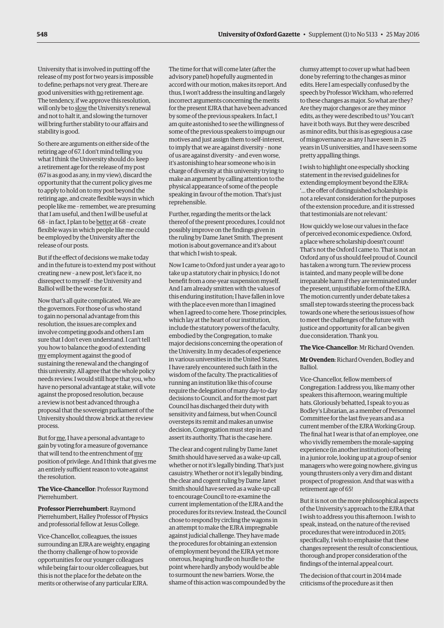University that is involved in putting off the release of my post for two years is impossible to define; perhaps not very great. There are good universities with no retirement age. The tendency, if we approve this resolution, will only be to slow the University's renewal and not to halt it, and slowing the turnover will bring further stability to our affairs and stability is good.

So there are arguments on either side of the retiring age of 67. I don't mind telling you what I think the University should do: keep a retirement age for the release of my post (67 is as good as any, in my view), discard the opportunity that the current policy gives me to apply to hold on to my post beyond the retiring age, and create flexible ways in which people like me – remember, we are presuming that I am useful, and then I will be useful at 68 – in fact, I plan to be better at 68 – create flexible ways in which people like me could be employed by the University after the release of our posts.

But if the effect of decisions we make today and in the future is to extend my post without creating new – a new post, let's face it, no disrespect to myself – the University and Balliol will be the worse for it.

Now that's all quite complicated. We are the governors. For those of us who stand to gain no personal advantage from this resolution, the issues are complex and involve competing goods and others I am sure that I don't even understand. I can't tell you how to balance the good of extending my employment against the good of sustaining the renewal and the changing of this university. All agree that the whole policy needs review. I would still hope that you, who have no personal advantage at stake, will vote against the proposed resolution, because a review is not best advanced through a proposal that the sovereign parliament of the University should throw a brick at the review process.

But for me, I have a personal advantage to gain by voting for a measure of governance that will tend to the entrenchment of my position of privilege. And I think that gives me an entirely sufficient reason to vote against the resolution.

**The Vice-Chancellor**: Professor Raymond Pierrehumbert.

**Professor Pierrehumbert**: Raymond Pierrehumbert, Halley Professor of Physics and professorial fellow at Jesus College.

Vice-Chancellor, colleagues, the issues surrounding an EJRA are weighty, engaging the thorny challenge of how to provide opportunities for our younger colleagues while being fair to our older colleagues, but this is not the place for the debate on the merits or otherwise of any particular EJRA.

The time for that will come later (after the advisory panel) hopefully augmented in accord with our motion, makes its report. And thus, I won't address the insulting and largely incorrect arguments concerning the merits for the present EJRA that have been advanced by some of the previous speakers. In fact, I am quite astonished to see the willingness of some of the previous speakers to impugn our motives and just assign them to self-interest, to imply that we are against diversity – none of us are against diversity – and even worse, it's astonishing to hear someone who is in charge of diversity at this university trying to make an argument by calling attention to the physical appearance of some of the people speaking in favour of the motion. That's just reprehensible.

Further, regarding the merits or the lack thereof of the present procedures, I could not possibly improve on the findings given in the ruling by Dame Janet Smith. The present motion is about governance and it's about that which I wish to speak.

Now I came to Oxford just under a year ago to take up a statutory chair in physics; I do not benefit from a one-year suspension myself. And I am already smitten with the values of this enduring institution; I have fallen in love with the place even more than I imagined when I agreed to come here. Those principles, which lay at the heart of our institution, include the statutory powers of the faculty, embodied by the Congregation, to make major decisions concerning the operation of the University. In my decades of experience in various universities in the United States, I have rarely encountered such faith in the wisdom of the faculty. The practicalities of running an institution like this of course require the delegation of many day-to-day decisions to Council, and for the most part Council has discharged their duty with sensitivity and fairness, but when Council oversteps its remit and makes an unwise decision, Congregation must step in and assert its authority. That is the case here.

The clear and cogent ruling by Dame Janet Smith should have served as a wake-up call, whether or not it's legally binding. That's just casuistry. Whether or not it's legally binding, the clear and cogent ruling by Dame Janet Smith should have served as a wake-up call to encourage Council to re-examine the current implementation of the EJRA and the procedures for its review. Instead, the Council chose to respond by circling the wagons in an attempt to make the EJRA impregnable against judicial challenge. They have made the procedures for obtaining an extension of employment beyond the EJRA yet more onerous, heaping hurdle on hurdle to the point where hardly anybody would be able to surmount the new barriers. Worse, the shame of this action was compounded by the

clumsy attempt to cover up what had been done by referring to the changes as minor edits. Here I am especially confused by the speech by Professor Wickham, who referred to these changes as major. So what are they? Are they major changes or are they minor edits, as they were described to us? You can't have it both ways. But they were described as minor edits, but this is as egregious a case of misgovernance as any I have seen in 25 years in US universities, and I have seen some pretty appalling things.

I wish to highlight one especially shocking statement in the revised guidelines for extending employment beyond the EJRA: '… the offer of distinguished scholarship is not a relevant consideration for the purposes of the extension procedure, and it is stressed that testimonials are not relevant.'

How quickly we lose our values in the face of perceived economic expedience. Oxford, a place where scholarship doesn't count! That's not the Oxford I came to. That is not an Oxford any of us should feel proud of. Council has taken a wrong turn. The review process is tainted, and many people will be done irreparable harm if they are terminated under the present, unjustifiable form of the EJRA. The motion currently under debate takes a small step towards steering the process back towards one where the serious issues of how to meet the challenges of the future with justice and opportunity for all can be given due consideration. Thank you.

#### **The Vice-Chancellor**: Mr Richard Ovenden.

**Mr Ovenden**: Richard Ovenden, Bodley and Balliol.

Vice-Chancellor, fellow members of Congregation: I address you, like many other speakers this afternoon, wearing multiple hats. Gloriously behatted, I speak to you as Bodley's Librarian, as a member of Personnel Committee for the last five years and as a current member of the EJRA Working Group. The final hat I wear is that of an employee, one who vividly remembers the morale-sapping experience (in another institution) of being in a junior role, looking up at a group of senior managers who were going nowhere, giving us young thrusters only a very dim and distant prospect of progression. And that was with a retirement age of 65!

But it is not on the more philosophical aspects of the University's approach to the EJRA that I wish to address you this afternoon. I wish to speak, instead, on the nature of the revised procedures that were introduced in 2015; specifically, I wish to emphasise that these changes represent the result of conscientious, thorough and proper consideration of the findings of the internal appeal court.

The decision of that court in 2014 made criticisms of the procedure as it then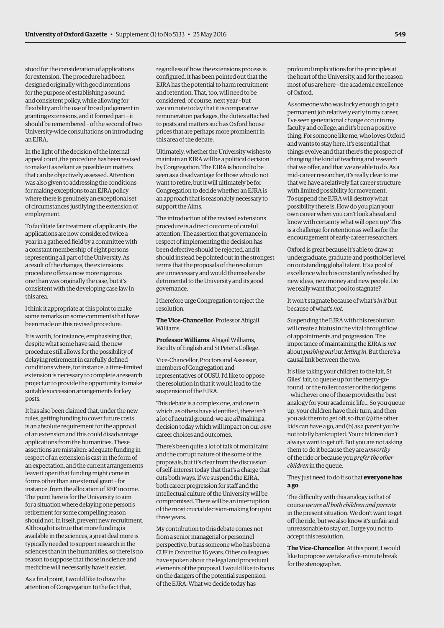stood for the consideration of applications for extension. The procedure had been designed originally with good intentions for the purpose of establishing a sound and consistent policy, while allowing for flexibility and the use of broad judgement in granting extensions, and it formed part – it should be remembered – of the second of two University-wide consultations on introducing an EJRA.

In the light of the decision of the internal appeal court, the procedure has been revised to make it as reliant as possible on matters that can be objectively assessed. Attention was also given to addressing the conditions for making exceptions to an EJRA policy where there is genuinely an exceptional set of circumstances justifying the extension of employment.

To facilitate fair treatment of applicants, the applications are now considered twice a year in a gathered field by a committee with a constant membership of eight persons representing all part of the University. As a result of the changes, the extensions procedure offers a now more rigorous one than was originally the case, but it's consistent with the developing case law in this area.

I think it appropriate at this point to make some remarks on some comments that have been made on this revised procedure.

It is worth, for instance, emphasising that, despite what some have said, the new procedure still allows for the possibility of delaying retirement in carefully defined conditions where, for instance, a time-limited extension is necessary to complete a research project,or to provide the opportunity to make suitable succession arrangements for key posts.

It has also been claimed that, under the new rules, getting funding to cover future costs is an absolute requirement for the approval of an extension and this could disadvantage applications from the humanities. These assertions are mistaken: adequate funding in respect of an extension is cast in the form of an expectation, and the current arrangements leave it open that funding might come in forms other than an external grant – for instance, from the allocation of REF income. The point here is for the University to aim for a situation where delaying one person's retirement for some compelling reason should not, in itself, prevent new recruitment. Although it is true that more funding is available in the sciences, a great deal more is typically needed to support research in the sciences than in the humanities, so there is no reason to suppose that those in science and medicine will necessarily have it easier.

As a final point, I would like to draw the attention of Congregation to the fact that, regardless of how the extensions process is configured, it has been pointed out that the EJRA has the potential to harm recruitment and retention. That, too, will need to be considered, of course, next year – but we can note today that it is comparative remuneration packages, the duties attached to posts and matters such as Oxford house prices that are perhaps more prominent in this area of the debate.

Ultimately, whether the University wishes to maintain an EJRA will be a political decision by Congregation. The EJRA is bound to be seen as a disadvantage for those who do not want to retire, but it will ultimately be for Congregation to decide whether an EJRA is an approach that is reasonably necessary to support the Aims.

The introduction of the revised extensions procedure is a direct outcome of careful attention. The assertion that governance in respect of implementing the decision has been defective should be rejected, and it should instead be pointed out in the strongest terms that the proposals of the resolution are unnecessary and would themselves be detrimental to the University and its good governance.

I therefore urge Congregation to reject the resolution.

**The Vice-Chancellor**: Professor Abigail Williams.

**Professor Williams**: Abigail Williams, Faculty of English and St Peter's College.

Vice-Chancellor, Proctors and Assessor, members of Congregation and representatives of OUSU, I'd like to oppose the resolution in that it would lead to the suspension of the EJRA.

This debate is a complex one, and one in which, as others have identified, there isn't a lot of neutral ground: we are *all* making a decision today which will impact on our *own* career choices and outcomes.

There's been quite a lot of talk of moral taint and the corrupt nature of the some of the proposals, but it's clear from the discussion of self-interest today that that's a charge that cuts both ways. If we suspend the EJRA, both career progression for staff and the intellectual culture of the University will be compromised. There will be an interruption of the most crucial decision-making for up to three years.

My contribution to this debate comes not from a senior managerial or personnel perspective, but as someone who has been a CUF in Oxford for 16 years. Other colleagues have spoken about the legal and procedural elements of the proposal. I would like to focus on the dangers of the potential suspension of the EJRA. What we decide today has

profound implications for the principles at the heart of the University, and for the reason most of us are here – the academic excellence of Oxford.

As someone who was lucky enough to get a permanent job relatively early in my career, I've seen generational change occur in my faculty and college, and it's been a positive thing. For someone like me, who loves Oxford and wants to stay here, it's essential that things evolve and that there's the prospect of changing the kind of teaching and research that we offer, and that we are able to do. As a mid-career researcher, it's really clear to me that we have a relatively flat career structure with limited possibility for movement. To suspend the EJRA will destroy what possibility there is. How do you plan your own career when you can't look ahead and know with certainty what will open up? This is a challenge for retention as well as for the encouragement of early-career researchers.

Oxford is great because it's able to draw at undergraduate, graduate and postholder level on outstanding global talent. It's a pool of excellence which is constantly refreshed by new ideas, new money and new people. Do we really want that pool to stagnate?

It won't stagnate because of what's *in it* but because of what's *not*.

Suspending the EJRA with this resolution will create a hiatus in the vital throughflow of appointments and progression. The importance of maintaining the EJRA is *not* about *pushing out* but *letting in*. But there's a causal link between the two.

It's like taking your children to the fair, St Giles' fair, to queue up for the merry-goround, or the rollercoaster or the dodgems – whichever one of those provides the best analogy for your academic life... So you queue up, your children have their turn, and then you ask them to get off, so that (a) the other kids can have a go, and (b) as a parent you're not totally bankrupted. Your children don't always want to get off. But you are not asking them to do it because they are *unworthy* of the ride or because you *prefer the other children* in the queue.

# They just need to do it so that **everyone has a go**.

The difficulty with this analogy is that of course *we are all both children and parents* in the present situation. We don't want to get off the ride, but we also know it's unfair and unreasonable to stay on. I urge you not to accept this resolution.

**The Vice-Chancellor**: At this point, I would like to propose we take a five-minute break for the stenographer.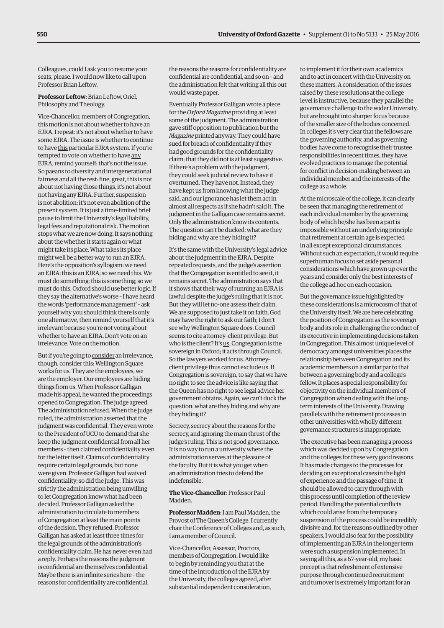Colleagues, could I ask you to resume your seats, please. I would now like to call upon Professor Brian Leftow.

**Professor Leftow**: Brian Leftow, Oriel, Philosophy and Theology.

Vice-Chancellor, members of Congregation, this motion is not about whether to have an EJRA. I repeat: it's not about whether to have some EJRA. The issue is whether to continue to have this particular EJRA system. If you're tempted to vote on whether to have any EJRA, remind yourself: that's not the issue. So paeans to diversity and intergenerational fairness and all the rest: fine, great, this is not about not having those things, it's not about not having any EJRA. Further, suspension is not abolition; it's not even abolition of the present system. It is just a time-limited brief pause to limit the University's legal liability, legal fees and reputational risk. The motion stops what we are now doing. It says nothing about the whether it starts again or what might take its place. What takes its place might well be a better way to run an EJRA. Here's the opposition's syllogism: we need an EJRA; this is an EJRA; so we need this. We must do something; this is something; so we must do this. Oxford should use better logic. If they say the alternative's worse – I have heard the words 'performance management' – ask yourself why you should think there is only one alternative, then remind yourself that it's irrelevant because you're not voting about whether to have an EJRA. Don't vote on an irrelevance. Vote on the motion.

But if you're going to consider an irrelevance, though, consider this: Wellington Square works for us. They are the employees, we are the employer. Our employees are hiding things from us. When Professor Galligan made his appeal, he wanted the proceedings opened to Congregation. The judge agreed. The administration refused. When the judge ruled, the administration asserted that the judgment was confidential. They even wrote to the President of UCU to demand that she keep the judgment confidential from all her members – then claimed confidentiality even for the letter itself. Claims of confidentiality require certain legal grounds, but none were given. Professor Galligan had waived confidentiality; so did the judge. This was strictly the administration being unwilling to let Congregation know what had been decided. Professor Galligan asked the administration to circulate to members of Congregation at least the main points of the decision. They refused. Professor Galligan has asked at least three times for the legal grounds of the administration's confidentiality claim. He has never even had a reply. Perhaps the reasons the judgment is confidential are themselves confidential. Maybe there is an infinite series here – the reasons for confidentiality are confidential,

the reasons the reasons for confidentiality are confidential are confidential, and so on – and the administration felt that writing all this out would waste paper.

Eventually Professor Galligan wrote a piece for the *Oxford Magazine* providing at least some of the judgment. The administration gave stiff opposition to publication but the *Magazine* printed anyway. They could have sued for breach of confidentiality if they had good grounds for the confidentiality claim; that they did not is at least suggestive. If there's a problem with the judgment, they could seek judicial review to have it overturned. They have not. Instead, they have kept us from knowing what the judge said, and our ignorance has let them act in almost all respects as if she hadn't said it. The judgment in the Galligan case remains secret. Only the administration know its contents. The question can't be ducked: what are they hiding and why are they hiding it?

It's the same with the University's legal advice about the judgment in the EJRA. Despite repeated requests, and the judge's assertion that the Congregation is entitled to see it, it remains secret. The administration says that it shows that their way of running an EJRA is lawful despite the judge's ruling that it is not. But they will let no-one assess their claim. We are supposed to just take it on faith. God may have the right to ask our faith; I don't see why Wellington Square does. Council seems to cite attorney–client privilege. But who is the client? It's us. Congregation is the sovereign in Oxford; it acts through Council. So the lawyers worked for us. Attorney– client privilege thus cannot exclude us. If Congregation is sovereign, to say that we have no right to see the advice is like saying that the Queen has no right to see legal advice her government obtains. Again, we can't duck the question: what are they hiding and why are they hiding it?

Secrecy, secrecy about the reasons for the secrecy, and ignoring the main thrust of the judge's ruling. This is not good governance. It is no way to run a university where the administration serves at the pleasure of the faculty. But it is what you get when an administration tries to defend the indefensible.

**The Vice-Chancellor**: Professor Paul Madden.

**Professor Madden**: I am Paul Madden, the Provost of The Queen's College. I currently chair the Conference of Colleges and, as such, I am a member of Council.

Vice-Chancellor, Assessor, Proctors, members of Congregation, I would like to begin by reminding you that at the time of the introduction of the EJRA by the University, the colleges agreed, after substantial independent consideration,

to implement it for their own academics and to act in concert with the University on these matters. A consideration of the issues raised by these resolutions at the college level is instructive, because they parallel the governance challenge to the wider University, but are brought into sharper focus because of the smaller size of the bodies concerned. In colleges it's very clear that the fellows are the governing authority, and as governing bodies have come to recognise their trustee responsibilities in recent times, they have evolved practices to manage the potential for conflict in decision-making between an individual member and the interests of the college as a whole.

At the microscale of the college, it can clearly be seen that managing the retirement of each individual member by the governing body of which he/she has been a part is impossible without an underlying principle that retirement at certain age is expected in all except exceptional circumstances. Without such an expectation, it would require superhuman focus to set aside personal considerations which have grown up over the years and consider only the best interests of the college ad hoc on each occasion.

But the governance issue highlighted by these considerations is a microcosm of that of the University itself. We are here celebrating the position of Congregation as the sovereign body and its role in challenging the conduct of its executive in implementing decisions taken in Congregation. This almost unique level of democracy amongst universities places the relationship between Congregation and its academic members on a similar par to that between a governing body and a college's fellow. It places a special responsibility for objectivity on the individual members of Congregation when dealing with the longterm interests of the University. Drawing parallels with the retirement processes in other universities with wholly different governance structures is inappropriate.

The executive has been managing a process which was decided upon by Congregation and the colleges for these very good reasons. It has made changes to the processes for deciding on exceptional cases in the light of experience and the passage of time. It should be allowed to carry through with this process until completion of the review period. Handling the potential conflicts which could arise from the temporary suspension of the process could be incredibly divisive and, for the reasons outlined by other speakers, I would also fear for the possibility of implementing an EJRA in the longer term were such a suspension implemented. In saying all this, as a 67-year-old, my basic precept is that refreshment of extensive purpose through continued recruitment and turnover is extremely important for an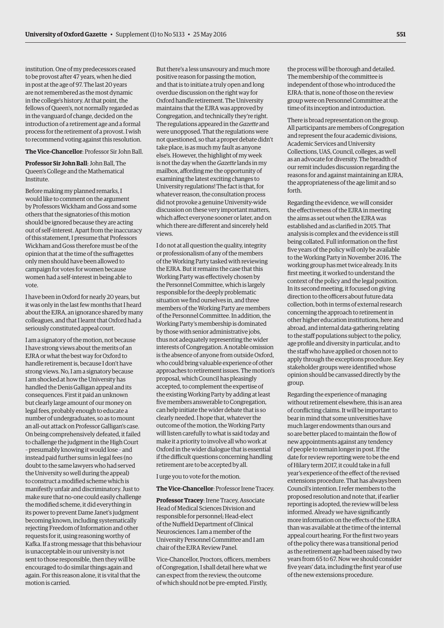institution. One of my predecessors ceased to be provost after 47 years, when he died in post at the age of 97. The last 20 years are not remembered as the most dynamic in the college's history. At that point, the fellows of Queen's, not normally regarded as in the vanguard of change, decided on the introduction of a retirement age and a formal process for the retirement of a provost. I wish to recommend voting against this resolution.

**The Vice-Chancellor**: Professor Sir John Ball.

**Professor Sir John Ball**: John Ball, The Queen's College and the Mathematical Institute.

Before making my planned remarks, I would like to comment on the argument by Professors Wickham and Goss and some others that the signatories of this motion should be ignored because they are acting out of self-interest. Apart from the inaccuracy of this statement, I presume that Professors Wickham and Goss therefore must be of the opinion that at the time of the suffragettes only men should have been allowed to campaign for votes for women because women had a self-interest in being able to vote.

I have been in Oxford for nearly 20 years, but it was only in the last few months that I heard about the EJRA, an ignorance shared by many colleagues, and that I learnt that Oxford had a seriously constituted appeal court.

I am a signatory of the motion, not because I have strong views about the merits of an EJRA or what the best way for Oxford to handle retirement is, because I don't have strong views. No, I am a signatory because I am shocked at how the University has handled the Denis Galligan appeal and its consequences. First it paid an unknown but clearly large amount of our money on legal fees, probably enough to educate a number of undergraduates, so as to mount an all-out attack on Professor Galligan's case. On being comprehensively defeated, it failed to challenge the judgment in the High Court – presumably knowing it would lose – and instead paid further sums in legal fees (no doubt to the same lawyers who had served the University so well during the appeal) to construct a modified scheme which is manifestly unfair and discriminatory. Just to make sure that no-one could easily challenge the modified scheme, it did everything in its power to prevent Dame Janet's judgment becoming known, including systematically rejecting Freedom of Information and other requests for it, using reasoning worthy of Kafka. If a strong message that this behaviour is unacceptable in our university is not sent to those responsible, then they will be encouraged to do similar things again and again. For this reason alone, it is vital that the motion is carried.

But there's a less unsavoury and much more positive reason for passing the motion, and that is to initiate a truly open and long overdue discussion on the right way for Oxford handle retirement. The University maintains that the EJRA was approved by Congregation, and technically they're right. The regulations appeared in the *Gazette* and were unopposed. That the regulations were not questioned, so that a proper debate didn't take place, is as much my fault as anyone else's. However, the highlight of my week is not the day when the *Gazette* lands in my mailbox, affording me the opportunity of examining the latest exciting changes to University regulations! The fact is that, for whatever reason, the consultation process did not provoke a genuine University-wide discussion on these very important matters, which affect everyone sooner or later, and on which there are different and sincerely held views.

I do not at all question the quality, integrity or professionalism of any of the members of the Working Party tasked with reviewing the EJRA. But it remains the case that this Working Party was effectively chosen by the Personnel Committee, which is largely responsible for the deeply problematic situation we find ourselves in, and three members of the Working Party are members of the Personnel Committee. In addition, the Working Party's membership is dominated by those with senior administrative jobs, thus not adequately representing the wider interests of Congregation. A notable omission is the absence of anyone from outside Oxford, who could bring valuable experience of other approaches to retirement issues. The motion's proposal, which Council has pleasingly accepted, to complement the expertise of the existing Working Party by adding at least five members answerable to Congregation, can help initiate the wider debate that is so clearly needed. I hope that, whatever the outcome of the motion, the Working Party will listen carefully to what is said today and make it a priority to involve all who work at Oxford in the wider dialogue that is essential if the difficult questions concerning handling retirement are to be accepted by all.

I urge you to vote for the motion.

**The Vice-Chancellor**: Professor Irene Tracey.

**Professor Tracey**: Irene Tracey, Associate Head of Medical Sciences Division and responsible for personnel; Head-elect of the Nuffield Department of Clinical Neurosciences. I am a member of the University Personnel Committee and I am chair of the EJRA Review Panel.

Vice-Chancellor, Proctors, officers, members of Congregation, I shall detail here what we can expect from the review, the outcome of which should not be pre-empted. Firstly,

the process will be thorough and detailed. The membership of the committee is independent of those who introduced the EJRA: that is, none of those on the review group were on Personnel Committee at the time of its inception and introduction.

There is broad representation on the group. All participants are members of Congregation and represent the four academic divisions, Academic Services and University Collections, UAS, Council, colleges, as well as an advocate for diversity. The breadth of our remit includes discussion regarding the reasons for and against maintaining an EJRA, the appropriateness of the age limit and so forth.

Regarding the evidence, we will consider the effectiveness of the EJRA in meeting the aims as set out when the EJRA was established and as clarified in 2015. That analysis is complex and the evidence is still being collated. Full information on the first five years of the policy will only be available to the Working Party in November 2016. The working group has met twice already. In its first meeting, it worked to understand the context of the policy and the legal position. In its second meeting, it focused on giving direction to the officers about future data collection, both in terms of external research concerning the approach to retirement in other higher education institutions, here and abroad, and internal data-gathering relating to the staff populations subject to the policy, age profile and diversity in particular, and to the staff who have applied or chosen not to apply through the exceptions procedure. Key stakeholder groups were identified whose opinion should be canvassed directly by the group.

Regarding the experience of managing without retirement elsewhere, this is an area of conflicting claims. It will be important to bear in mind that some universities have much larger endowments than ours and so are better placed to maintain the flow of new appointments against any tendency of people to remain longer in post. If the date for review reporting were to be the end of Hilary term 2017, it could take in a full year's experience of the effect of the revised extensions procedure. That has always been Council's intention. I refer members to the proposed resolution and note that, if earlier reporting is adopted, the review will be less informed. Already we have significantly more information on the effects of the EJRA than was available at the time of the internal appeal court hearing. For the first two years of the policy there was a transitional period as the retirement age had been raised by two years from 65 to 67. Now we should consider five years' data, including the first year of use of the new extensions procedure.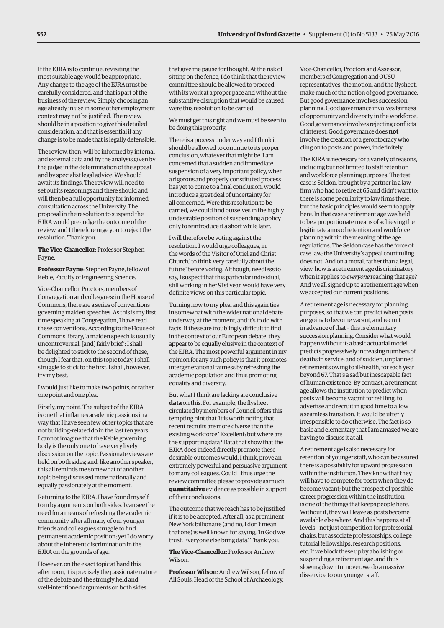If the EJRA is to continue, revisiting the most suitable age would be appropriate. Any change to the age of the EJRA must be carefully considered, and that is part of the business of the review. Simply choosing an age already in use in some other employment context may not be justified. The review should be in a position to give this detailed consideration, and that is essential if any change is to be made that is legally defensible.

The review, then, will be informed by internal and external data and by the analysis given by the judge in the determination of the appeal and by specialist legal advice. We should await its findings. The review will need to set out its reasonings and there should and will then be a full opportunity for informed consultation across the University. The proposal in the resolution to suspend the EJRA would pre-judge the outcome of the review, and I therefore urge you to reject the resolution. Thank you.

**The Vice-Chancellor**: Professor Stephen Payne.

**Professor Payne**: Stephen Payne, fellow of Keble, Faculty of Engineering Science.

Vice-Chancellor, Proctors, members of Congregation and colleagues: in the House of Commons, there are a series of conventions governing maiden speeches. As this is my first time speaking at Congregation, I have read these conventions. According to the House of Commons library, 'a maiden speech is usually uncontroversial, [and] fairly brief': I shall be delighted to stick to the second of these, though I fear that, on this topic today, I shall struggle to stick to the first. I shall, however, try my best.

I would just like to make two points, or rather one point and one plea.

Firstly, my point. The subject of the EJRA is one that inflames academic passions in a way that I have seen few other topics that are not building-related do in the last ten years. I cannot imagine that the Keble governing body is the only one to have very lively discussion on the topic. Passionate views are held on both sides; and, like another speaker, this all reminds me somewhat of another topic being discussed more nationally and equally passionately at the moment.

Returning to the EJRA, I have found myself torn by arguments on both sides. I can see the need for a means of refreshing the academic community, after all many of our younger friends and colleagues struggle to find permanent academic position; yet I do worry about the inherent discrimination in the EJRA on the grounds of age.

However, on the exact topic at hand this afternoon, it is precisely the passionate nature of the debate and the strongly held and well-intentioned arguments on both sides

that give me pause for thought. At the risk of sitting on the fence, I do think that the review committee should be allowed to proceed with its work at a proper pace and without the substantive disruption that would be caused were this resolution to be carried.

We must get this right and we must be seen to be doing this properly.

There is a process under way and I think it should be allowed to continue to its proper conclusion, whatever that might be. I am concerned that a sudden and immediate suspension of a very important policy, when a rigorous and properly constituted process has yet to come to a final conclusion, would introduce a great deal of uncertainty for all concerned. Were this resolution to be carried, we could find ourselves in the highly undesirable position of suspending a policy only to reintroduce it a short while later.

I will therefore be voting against the resolution. I would urge colleagues, in the words of the Visitor of Oriel and Christ Church,' to think very carefully about the future' before voting. Although, needless to say, I suspect that this particular individual, still working in her 91st year, would have very definite views on this particular topic.

Turning now to my plea, and this again ties in somewhat with the wider national debate underway at the moment, and it's to do with facts. If these are troublingly difficult to find in the context of our European debate, they appear to be equally elusive in the context of the EJRA. The most powerful argument in my opinion for any such policy is that it promotes intergenerational fairness by refreshing the academic population and thus promoting equality and diversity.

But what I think are lacking are conclusive **data** on this. For example, the flysheet circulated by members of Council offers this tempting hint that 'it is worth noting that recent recruits are more diverse than the existing workforce.' Excellent: but where are the supporting data? Data that show that the EJRA does indeed directly promote these desirable outcomes would, I think, prove an extremely powerful and persuasive argument to many colleagues. Could I thus urge the review committee please to provide as much **quantitative** evidence as possible in support of their conclusions.

The outcome that we reach has to be justified if it is to be accepted. After all, as a prominent New York billionaire (and no, I don't mean that one) is well known for saying, 'In God we trust. Everyone else bring data.' Thank you.

**The Vice-Chancellor**: Professor Andrew Wilson.

**Professor Wilson**: Andrew Wilson, fellow of All Souls, Head of the School of Archaeology.

Vice-Chancellor, Proctors and Assessor, members of Congregation and OUSU representatives, the motion, and the flysheet, make much of the notion of good governance. But good governance involves succession planning. Good governance involves fairness of opportunity and diversity in the workforce. Good governance involves rejecting conflicts of interest. Good governance does **not** involve the creation of a gerontocracy who cling on to posts and power, indefinitely.

The EJRA is necessary for a variety of reasons, including but not limited to staff retention and workforce planning purposes. The test case is Seldon, brought by a partner in a law firm who had to retire at 65 and didn't want to; there is some peculiarity to law firms there, but the basic principles would seem to apply here. In that case a retirement age was held to be a proportionate means of achieving the legitimate aims of retention and workforce planning within the meaning of the age regulations. The Seldon case has the force of case law; the University's appeal court ruling does not. And on a moral, rather than a legal, view, how is a retirement age discriminatory when it applies to *everyone* reaching that age? And we all signed up to a retirement age when we accepted our current positions.

A retirement age is necessary for planning purposes, so that we can predict when posts are going to become vacant, and recruit in advance of that – this is elementary succession planning. Consider what would happen without it: a basic actuarial model predicts progressively increasing numbers of deaths in service, and of sudden, unplanned retirements owing to ill-health, for each year beyond 67. That's a sad but inescapable fact of human existence. By contrast, a retirement age allows the institution to predict when posts will become vacant for refilling, to advertise and recruit in good time to allow a seamless transition. It would be utterly irresponsible to do otherwise. The fact is so basic and elementary that I am amazed we are having to discuss it at all.

A retirement age is also necessary for retention of younger staff, who can be assured there is a possibility for upward progression within the institution. They know that they will have to compete for posts when they do become vacant; but the prospect of possible career progression within the institution is one of the things that keeps people here. Without it, they will leave as posts become available elsewhere. And this happens at all levels – not just competition for professorial chairs, but associate professorships, college tutorial fellowships, research positions, etc. If we block these up by abolishing or suspending a retirement age, and thus slowing down turnover, we do a massive disservice to our younger staff.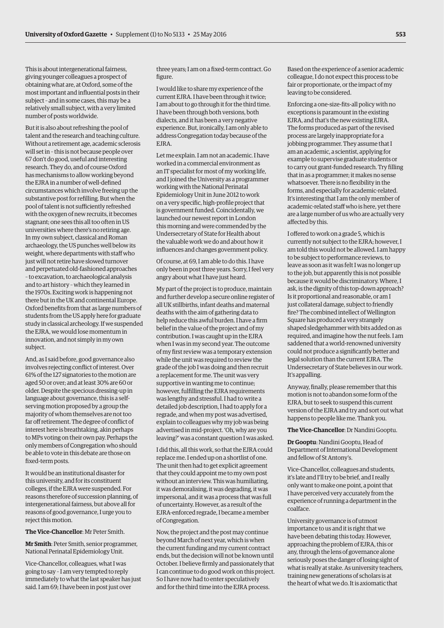This is about intergenerational fairness, giving younger colleagues a prospect of obtaining what are, at Oxford, some of the most important and influential posts in their subject – and in some cases, this may be a relatively small subject, with a very limited number of posts worldwide.

But it is also about refreshing the pool of talent and the research and teaching culture. Without a retirement age, academic sclerosis will set in – this is not because people over 67 don't do good, useful and interesting research. They do, and of course Oxford has mechanisms to allow working beyond the EJRA in a number of well-defined circumstances which involve freeing up the substantive post for refilling. But when the pool of talent is not sufficiently refreshed with the oxygen of new recruits, it becomes stagnant; one sees this all too often in US universities where there's no retiring age. In my own subject, classical and Roman archaeology, the US punches well below its weight, where departments with staff who just will not retire have slowed turnover and perpetuated old-fashioned approaches – to excavation, to archaeological analysis and to art history – which they learned in the 1970s. Exciting work is happening not there but in the UK and continental Europe. Oxford benefits from that as large numbers of students from the US apply here for graduate study in classical archeology. If we suspended the EJRA, we would lose momentum in innovation, and not simply in my own subject.

And, as I said before, good governance also involves rejecting conflict of interest. Over 61% of the 127 signatories to the motion are aged 50 or over; and at least 30% are 60 or older. Despite the specious dressing-up in language about governance, this is a selfserving motion proposed by a group the majority of whom themselves are not too far off retirement. The degree of conflict of interest here is breathtaking, akin perhaps to MPs voting on their own pay. Perhaps the only members of Congregation who should be able to vote in this debate are those on fixed-term posts.

It would be an institutional disaster for this university, and for its constituent colleges, if the EJRA were suspended. For reasons therefore of succession planning, of intergenerational fairness, but above all for reasons of good governance, I urge you to reject this motion.

### **The Vice-Chancellor**: Mr Peter Smith.

**Mr Smith**: Peter Smith, senior programmer, National Perinatal Epidemiology Unit.

Vice-Chancellor, colleagues, what I was going to say – I am very tempted to reply immediately to what the last speaker has just said. I am 69; I have been in post just over

three years; I am on a fixed-term contract. Go figure.

I would like to share my experience of the current EJRA. I have been through it twice; I am about to go through it for the third time. I have been through both versions, both dialects, and it has been a very negative experience. But, ironically, I am only able to address Congregation today because of the EJRA.

Let me explain. I am not an academic. I have worked in a commercial environment as an IT specialist for most of my working life, and I joined the University as a programmer working with the National Perinatal Epidemiology Unit in June 2012 to work on a very specific, high-profile project that is government funded. Coincidentally, we launched our newest report in London this morning and were commended by the Undersecretary of State for Health about the valuable work we do and about how it influences and changes government policy.

Of course, at 69, I am able to do this. I have only been in post three years. Sorry, I feel very angry about what I have just heard.

My part of the project is to produce, maintain and further develop a secure online register of all UK stillbirths, infant deaths and maternal deaths with the aim of gathering data to help reduce this awful burden. I have a firm belief in the value of the project and of my contribution. I was caught up in the EJRA when I was in my second year. The outcome of my first review was a temporary extension while the unit was required to review the grade of the job I was doing and then recruit a replacement for me. The unit was very supportive in wanting me to continue; however, fulfilling the EJRA requirements was lengthy and stressful. I had to write a detailed job description, I had to apply for a regrade, and when my post was advertised, explain to colleagues why my job was being advertised in mid-project. 'Oh, why are you leaving?' was a constant question I was asked.

I did this, all this work, so that the EJRA could replace me. I ended up on a shortlist of one. The unit then had to get explicit agreement that they could appoint me to my own post without an interview. This was humiliating, it was demoralising, it was degrading, it was impersonal, and it was a process that was full of uncertainty. However, as a result of the EJRA-enforced regrade, I became a member of Congregation.

Now, the project and the post may continue beyond March of next year, which is when the current funding and my current contract ends, but the decision will not be known until October. I believe firmly and passionately that I can continue to do good work on this project. So I have now had to enter speculatively and for the third time into the EJRA process.

Based on the experience of a senior academic colleague, I do not expect this process to be fair or proportionate, or the impact of my leaving to be considered.

Enforcing a one-size-fits-all policy with no exceptions is paramount in the existing EJRA, and that's the new existing EJRA. The forms produced as part of the revised process are largely inappropriate for a jobbing programmer. They assume that I am an academic, a scientist, applying for example to supervise graduate students or to carry out grant-funded research. Try filling that in as a programmer; it makes no sense whatsoever. There is no flexibility in the forms, and especially for academic-related. It's interesting that I am the only member of academic-related staff who is here, yet there are a large number of us who are actually very affected by this.

I offered to work on a grade 5, which is currently not subject to the EJRA; however, I am told this would not be allowed. I am happy to be subject to performance reviews, to leave as soon as it was felt I was no longer up to the job, but apparently this is not possible because it would be discriminatory. Where, I ask, is the dignity of this top-down approach? Is it proportional and reasonable, or am I just collateral damage, subject to friendly fire? The combined intellect of Wellington Square has produced a very strangely shaped sledgehammer with bits added on as required, and imagine how the nut feels. I am saddened that a world-renowned university could not produce a significantly better and legal solution than the current EJRA. The Undersecretary of State believes in our work. It's appalling.

Anyway, finally, please remember that this motion is not to abandon some form of the EJRA, but to seek to suspend this current version of the EJRA and try and sort out what happens to people like me. Thank you.

#### **The Vice-Chancellor**: Dr Nandini Gooptu.

**Dr Gooptu**: Nandini Gooptu, Head of Department of International Development and fellow of St Antony's.

Vice-Chancellor, colleagues and students, it's late and I'll try to be brief, and I really only want to make one point, a point that I have perceived very accurately from the experience of running a department in the coalface.

University governance is of utmost importance to us and it is right that we have been debating this today. However, approaching the problem of EJRA, this or any, through the lens of governance alone seriously poses the danger of losing sight of what is really at stake. As university teachers, training new generations of scholars is at the heart of what we do. It is axiomatic that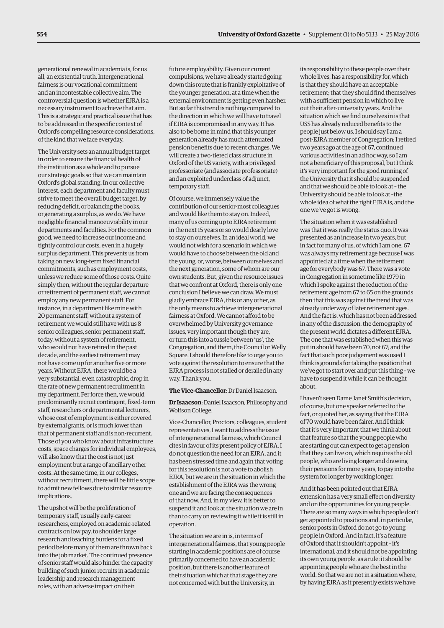generational renewal in academia is, for us all, an existential truth. Intergenerational fairness is our vocational commitment and an incontestable collective aim. The controversial question is whether EJRA is a necessary instrument to achieve that aim. This is a strategic and practical issue that has to be addressed in the specific context of Oxford's compelling resource considerations, of the kind that we face everyday.

The University sets an annual budget target in order to ensure the financial health of the institution as a whole and to pursue our strategic goals so that we can maintain Oxford's global standing. In our collective interest, each department and faculty must strive to meet the overall budget target, by reducing deficit, or balancing the books, or generating a surplus, as we do. We have negligible financial manoeuvrability in our departments and faculties. For the common good, we need to increase our income and tightly control our costs, even in a hugely surplus department. This prevents us from taking on new long-term fixed financial commitments, such as employment costs, unless we reduce some of those costs. Quite simply then, without the regular departure or retirement of permanent staff, we cannot employ any new permanent staff. For instance, in a department like mine with 20 permanent staff, without a system of retirement we would still have with us 8 senior colleagues, senior permanent staff, today, without a system of retirement, who would not have retired in the past decade, and the earliest retirement may not have come up for another five or more years. Without EJRA, there would be a very substantial, even catastrophic, drop in the rate of new permanent recruitment in my department. Per force then, we would predominantly recruit contingent, fixed-term staff, researchers or departmental lecturers, whose cost of employment is either covered by external grants, or is much lower than that of permanent staff and is non-recurrent. Those of you who know about infrastructure costs, space charges for individual employees, will also know that the cost is not just employment but a range of ancillary other costs. At the same time, in our colleges, without recruitment, there will be little scope to admit new fellows due to similar resource implications.

The upshot will be the proliferation of temporary staff, usually early-career researchers, employed on academic-related contracts on low pay, to shoulder large research and teaching burdens for a fixed period before many of them are thrown back into the job market. The continued presence of senior staff would also hinder the capacity building of such junior recruits in academic leadership and research management roles, with an adverse impact on their

future employability. Given our current compulsions, we have already started going down this route that is frankly exploitative of the younger generation, at a time when the external environment is getting even harsher. But so far this trend is nothing compared to the direction in which we will have to travel if EJRA is compromised in any way. It has also to be borne in mind that this younger generation already has much attenuated pension benefits due to recent changes. We will create a two-tiered class structure in Oxford of the US variety, with a privileged professoriate (and associate professoriate) and an exploited underclass of adjunct, temporary staff.

Of course, we immensely value the contribution of our senior-most colleagues and would like them to stay on. Indeed, many of us coming up to EJRA retirement in the next 15 years or so would dearly love to stay on ourselves. In an ideal world, we would not wish for a scenario in which we would have to choose between the old and the young, or, worse, between ourselves and the next generation, some of whom are our own students. But, given the resource issues that we confront at Oxford, there is only one conclusion I believe we can draw. We must gladly embrace EJRA, this or any other, as the only means to achieve intergenerational fairness at Oxford. We cannot afford to be overwhelmed by University governance issues, very important though they are, or turn this into a tussle between 'us', the Congregation, and them, the Council or Welly Square. I should therefore like to urge you to vote against the resolution to ensure that the EJRA process is not stalled or derailed in any way. Thank you.

#### **The Vice-Chancellor**: Dr Daniel Isaacson.

**Dr Isaacson**: Daniel Isaacson, Philosophy and Wolfson College.

Vice-Chancellor, Proctors, colleagues, student representatives, I want to address the issue of intergenerational fairness, which Council cites in favour of its present policy of EJRA. I do not question the need for an EJRA, and it has been stressed time and again that voting for this resolution is not a vote to abolish EJRA, but we are in the situation in which the establishment of the EJRA was the wrong one and we are facing the consequences of that now. And, in my view, it is better to suspend it and look at the situation we are in than to carry on reviewing it while it is still in operation.

The situation we are in is, in terms of intergenerational fairness, that young people starting in academic positions are of course primarily concerned to have an academic position, but there is another feature of their situation which at that stage they are not concerned with but the University, in

its responsibility to these people over their whole lives, has a responsibility for, which is that they should have an acceptable retirement; that they should find themselves with a sufficient pension in which to live out their after-university years. And the situation which we find ourselves in is that USS has already reduced benefits to the people just below us. I should say I am a post-EJRA member of Congregation; I retired two years ago at the age of 67, continued various activities in an ad hoc way, so I am not a beneficiary of this proposal, but I think it's very important for the good running of the University that it should be suspended and that we should be able to look at – the University should be able to look at –the whole idea of what the right EJRA is, and the one we've got is wrong.

The situation when it was established was that it was really the status quo. It was presented as an increase in two years, but in fact for many of us, of which I am one, 67 was always my retirement age because I was appointed at a time when the retirement age for everybody was 67. There was a vote in Congregation in sometime like 1979 in which I spoke against the reduction of the retirement age from 67 to 65 on the grounds then that this was against the trend that was already underway of later retirement ages. And the fact is, which has not been addressed in any of the discussion, the demography of the present world dictates a different EJRA. The one that was established when this was put in should have been 70, not 67; and the fact that such poor judgement was used I think is grounds for taking the position that we've got to start over and put this thing – we have to suspend it while it can be thought about.

I haven't seen Dame Janet Smith's decision, of course, but one speaker referred to the fact, or quoted her, as saying that the EJRA of 70 would have been fairer. And I think that it's very important that we think about that feature so that the young people who are starting out can expect to get a pension that they can live on, which requires the old people, who are living longer and drawing their pensions for more years, to pay into the system for longer by working longer.

And it has been pointed out that EJRA extension has a very small effect on diversity and on the opportunities for young people. There are so many ways in which people don't get appointed to positions and, in particular, senior posts in Oxford do not go to young people in Oxford. And in fact, it's a feature of Oxford that it shouldn't appoint – it's international, and it should not be appointing its own young people, as a rule: it should be appointing people who are the best in the world. So that we are not in a situation where, by having EJRA as it presently exists we have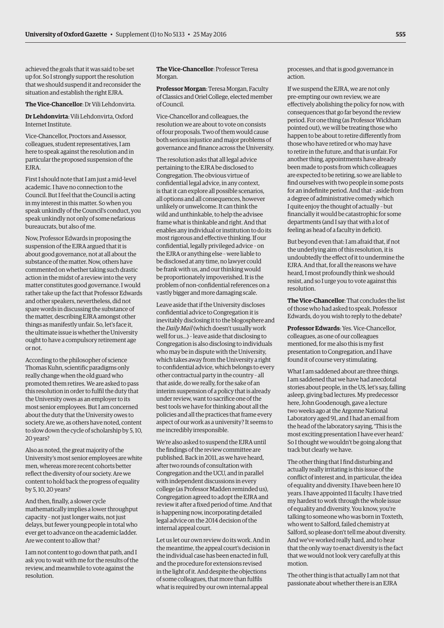achieved the goals that it was said to be set up for. So I strongly support the resolution that we should suspend it and reconsider the situation and establish the right EJRA.

#### **The Vice-Chancellor**: Dr Vili Lehdonvirta.

**Dr Lehdonvirta**: Vili Lehdonvirta, Oxford Internet Institute.

Vice-Chancellor, Proctors and Assessor, colleagues, student representatives, I am here to speak against the resolution and in particular the proposed suspension of the EJRA.

First I should note that I am just a mid-level academic. I have no connection to the Council. But I feel that the Council is acting in my interest in this matter. So when you speak unkindly of the Council's conduct, you speak unkindly not only of some nefarious bureaucrats, but also of me.

Now, Professor Edwards in proposing the suspension of the EJRA argued that it is about good governance, not at all about the substance of the matter. Now, others have commented on whether taking such drastic action in the midst of a review into the very matter constitutes good governance. I would rather take up the fact that Professor Edwards and other speakers, nevertheless, did not spare words in discussing the substance of the matter, describing EJRA amongst other things as manifestly unfair. So, let's face it, the ultimate issue is whether the University ought to have a compulsory retirement age or not.

According to the philosopher of science Thomas Kuhn, scientific paradigms only really change when the old guard who promoted them retires. We are asked to pass this resolution in order to fulfil the duty that the University owes as an employer to its most senior employees. But I am concerned about the duty that the University owes to society. Are we, as others have noted, content to slow down the cycle of scholarship by 5, 10, 20 years?

Also as noted, the great majority of the University's most senior employees are white men, whereas more recent cohorts better reflect the diversity of our society. Are we content to hold back the progress of equality by 5, 10, 20 years?

And then, finally, a slower cycle mathematically implies a lower throughput capacity – not just longer waits, not just delays, but fewer young people in total who ever get to advance on the academic ladder. Are we content to allow that?

I am not content to go down that path, and I ask you to wait with me for the results of the review, and meanwhile to vote against the resolution.

## **The Vice-Chancellor**: Professor Teresa Morgan.

**Professor Morgan**: Teresa Morgan, Faculty of Classics and Oriel College, elected member of Council.

Vice-Chancellor and colleagues, the resolution we are about to vote on consists of four proposals. Two of them would cause both serious injustice and major problems of governance and finance across the University.

The resolution asks that all legal advice pertaining to the EJRA be disclosed to Congregation. The obvious virtue of confidential legal advice, in any context, is that it can explore all possible scenarios, all options and all consequences, however unlikely or unwelcome. It can think the wild and unthinkable, to help the advisee frame what is thinkable and right. And that enables any individual or institution to do its most rigorous and effective thinking. If our confidential, legally privileged advice – on the EJRA or anything else – were liable to be disclosed at any time, no lawyer could be frank with us, and our thinking would be proportionately impoverished. It is the problem of non-confidential references on a vastly bigger and more damaging scale.

Leave aside that if the University discloses confidential advice to Congregation it is inevitably disclosing it to the blogosphere and the *Daily Mail* (which doesn't usually work well for us...) – leave aside that disclosing to Congregation is also disclosing to individuals who may be in dispute with the University, which takes away from the University a right to confidential advice, which belongs to every other contractual party in the country – all that aside, do we really, for the sake of an interim suspension of a policy that is already under review, want to sacrifice one of the best tools we have for thinking about all the policies and all the practices that frame every aspect of our work as a university? It seems to me incredibly irresponsible.

We're also asked to suspend the EJRA until the findings of the review committee are published. Back in 2011, as we have heard, after two rounds of consultation with Congregation and the UCU, and in parallel with independent discussions in every college (as Professor Madden reminded us), Congregation agreed to adopt the EJRA and review it after a fixed period of time. And that is happening now, incorporating detailed legal advice on the 2014 decision of the internal appeal court.

Let us let our own review do its work. And in the meantime, the appeal court's decision in the individual case has been enacted in full, and the procedure for extensions revised in the light of it. And despite the objections of some colleagues, that more than fulfils what is required by our own internal appeal

processes, and that is good governance in action.

If we suspend the EJRA, we are not only pre-empting our own review, we are effectively abolishing the policy for now, with consequences that go far beyond the review period. For one thing (as Professor Wickham pointed out), we will be treating those who happen to be about to retire differently from those who have retired or who may have to retire in the future, and that is unfair. For another thing, appointments have already been made to posts from which colleagues are expected to be retiring, so we are liable to find ourselves with two people in some posts for an indefinite period. And that – aside from a degree of administrative comedy which I quite enjoy the thought of actually – but financially it would be catastrophic for some departments (and I say that with a lot of feeling as head of a faculty in deficit).

But beyond even that: I am afraid that, if not the underlying aim of this resolution, it is undoubtedly the effect of it to undermine the EJRA. And that, for all the reasons we have heard, I most profoundly think we should resist, and so I urge you to vote against this resolution.

**The Vice-Chancellor**: That concludes the list of those who had asked to speak. Professor Edwards, do you wish to reply to the debate?

**Professor Edwards**: Yes. Vice-Chancellor, colleagues, as one of our colleagues mentioned, for me also this is my first presentation to Congregation, and I have found it of course very stimulating.

What I am saddened about are three things. I am saddened that we have had anecdotal stories about people, in the US, let's say, falling asleep, giving bad lectures. My predecessor here, John Goodenough, gave a lecture two weeks ago at the Argonne National Laboratory aged 91, and I had an email from the head of the laboratory saying, 'This is the most exciting presentation I have ever heard.' So I thought we wouldn't be going along that track but clearly we have.

The other thing that I find disturbing and actually really irritating is this issue of the conflict of interest and, in particular, the idea of equality and diversity. I have been here 10 years. I have appointed 11 faculty. I have tried my hardest to work through the whole issue of equality and diversity. You know, you're talking to someone who was born in Toxteth, who went to Salford, failed chemistry at Salford, so please don't tell me about diversity. And we've worked really hard, and to hear that the only way to enact diversity is the fact that we would not look very carefully at this motion.

The other thing is that actually I am not that passionate about whether there is an EJRA